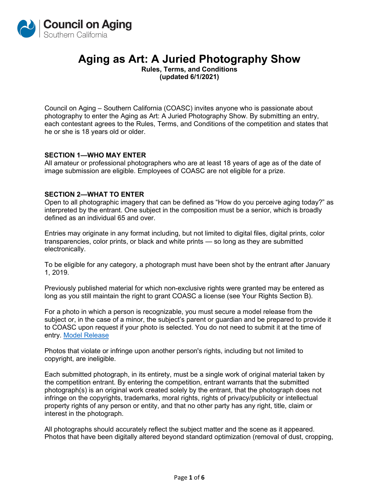

# **Aging as Art: A Juried Photography Show**

**Rules, Terms, and Conditions (updated 6/1/2021)**

Council on Aging – Southern California (COASC) invites anyone who is passionate about photography to enter the Aging as Art: A Juried Photography Show. By submitting an entry, each contestant agrees to the Rules, Terms, and Conditions of the competition and states that he or she is 18 years old or older.

#### **SECTION 1—WHO MAY ENTER**

All amateur or professional photographers who are at least 18 years of age as of the date of image submission are eligible. Employees of COASC are not eligible for a prize.

## **SECTION 2—WHAT TO ENTER**

Open to all photographic imagery that can be defined as "How do you perceive aging today?" as interpreted by the entrant. One subject in the composition must be a senior, which is broadly defined as an individual 65 and over.

Entries may originate in any format including, but not limited to digital files, digital prints, color transparencies, color prints, or black and white prints — so long as they are submitted electronically.

To be eligible for any category, a photograph must have been shot by the entrant after January 1, 2019.

Previously published material for which non-exclusive rights were granted may be entered as long as you still maintain the right to grant COASC a license (see Your Rights Section B).

For a photo in which a person is recognizable, you must secure a model release from the subject or, in the case of a minor, the subject's parent or guardian and be prepared to provide it to COASC upon request if your photo is selected. You do not need to submit it at the time of entry. [Model Release](https://www.coasc.org/wp-content/uploads/2020/02/Aging-as-Art-2020-Model-Release.pdf)

Photos that violate or infringe upon another person's rights, including but not limited to copyright, are ineligible.

Each submitted photograph, in its entirety, must be a single work of original material taken by the competition entrant. By entering the competition, entrant warrants that the submitted photograph(s) is an original work created solely by the entrant, that the photograph does not infringe on the copyrights, trademarks, moral rights, rights of privacy/publicity or intellectual property rights of any person or entity, and that no other party has any right, title, claim or interest in the photograph.

All photographs should accurately reflect the subject matter and the scene as it appeared. Photos that have been digitally altered beyond standard optimization (removal of dust, cropping,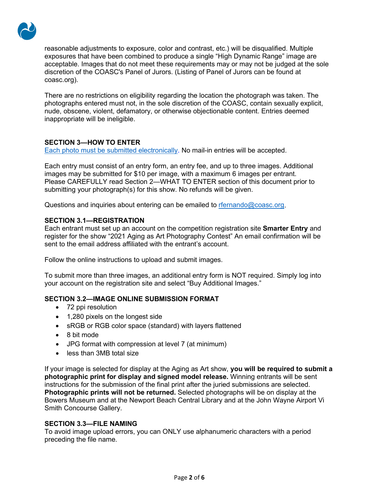

reasonable adjustments to exposure, color and contrast, etc.) will be disqualified. Multiple exposures that have been combined to produce a single "High Dynamic Range" image are acceptable. Images that do not meet these requirements may or may not be judged at the sole discretion of the COASC's Panel of Jurors. (Listing of Panel of Jurors can be found at coasc.org).

There are no restrictions on eligibility regarding the location the photograph was taken. The photographs entered must not, in the sole discretion of the COASC, contain sexually explicit, nude, obscene, violent, defamatory, or otherwise objectionable content. Entries deemed inappropriate will be ineligible.

# **SECTION 3—HOW TO ENTER**

[Each photo must be submitted electronically.](https://client.smarterentry.com/COAOC/) No mail-in entries will be accepted.

Each entry must consist of an entry form, an entry fee, and up to three images. Additional images may be submitted for \$10 per image, with a maximum 6 images per entrant. Please CAREFULLY read Section 2—WHAT TO ENTER section of this document prior to submitting your photograph(s) for this show. No refunds will be given.

Questions and inquiries about entering can be emailed to [rfernando@coasc.org.](mailto:rfernando@coasc.org)

# **SECTION 3.1—REGISTRATION**

Each entrant must set up an account on the competition registration site **Smarter Entry** and register for the show "2021 Aging as Art Photography Contest" An email confirmation will be sent to the email address affiliated with the entrant's account.

Follow the online instructions to upload and submit images.

To submit more than three images, an additional entry form is NOT required. Simply log into your account on the registration site and select "Buy Additional Images."

# **SECTION 3.2—IMAGE ONLINE SUBMISSION FORMAT**

- 72 ppi resolution
- 1,280 pixels on the longest side
- sRGB or RGB color space (standard) with layers flattened
- 8 bit mode
- JPG format with compression at level 7 (at minimum)
- less than 3MB total size

If your image is selected for display at the Aging as Art show, **you will be required to submit a photographic print for display and signed model release.** Winning entrants will be sent instructions for the submission of the final print after the juried submissions are selected. **Photographic prints will not be returned.** Selected photographs will be on display at the Bowers Museum and at the Newport Beach Central Library and at the John Wayne Airport Vi Smith Concourse Gallery.

# **SECTION 3.3—FILE NAMING**

To avoid image upload errors, you can ONLY use alphanumeric characters with a period preceding the file name.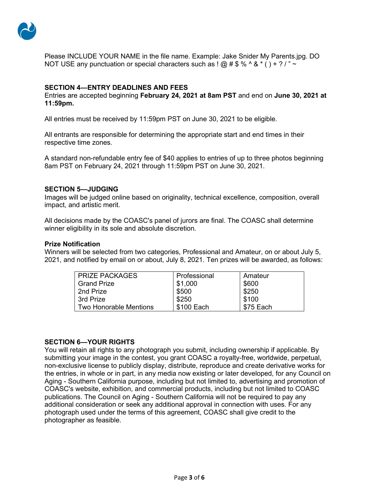

Please INCLUDE YOUR NAME in the file name. Example: Jake Snider My Parents.jpg. DO NOT USE any punctuation or special characters such as ! @ # \$ % ^ & \* ( ) + ? / " ~

## **SECTION 4—ENTRY DEADLINES AND FEES**

Entries are accepted beginning **February 24, 2021 at 8am PST** and end on **June 30, 2021 at 11:59pm.** 

All entries must be received by 11:59pm PST on June 30, 2021 to be eligible.

All entrants are responsible for determining the appropriate start and end times in their respective time zones.

A standard non-refundable entry fee of \$40 applies to entries of up to three photos beginning 8am PST on February 24, 2021 through 11:59pm PST on June 30, 2021.

#### **SECTION 5—JUDGING**

Images will be judged online based on originality, technical excellence, composition, overall impact, and artistic merit.

All decisions made by the COASC's panel of jurors are final. The COASC shall determine winner eligibility in its sole and absolute discretion.

#### **Prize Notification**

Winners will be selected from two categories, Professional and Amateur, on or about July 5, 2021, and notified by email on or about, July 8, 2021. Ten prizes will be awarded, as follows:

| <b>PRIZE PACKAGES</b>  | Professional | Amateur   |
|------------------------|--------------|-----------|
| <b>Grand Prize</b>     | \$1,000      | \$600     |
| 2nd Prize              | \$500        | \$250     |
| 3rd Prize              | \$250        | \$100     |
| Two Honorable Mentions | \$100 Each   | \$75 Each |

#### **SECTION 6—YOUR RIGHTS**

You will retain all rights to any photograph you submit, including ownership if applicable. By submitting your image in the contest, you grant COASC a royalty-free, worldwide, perpetual, non-exclusive license to publicly display, distribute, reproduce and create derivative works for the entries, in whole or in part, in any media now existing or later developed, for any Council on Aging - Southern California purpose, including but not limited to, advertising and promotion of COASC's website, exhibition, and commercial products, including but not limited to COASC publications. The Council on Aging - Southern California will not be required to pay any additional consideration or seek any additional approval in connection with uses. For any photograph used under the terms of this agreement, COASC shall give credit to the photographer as feasible.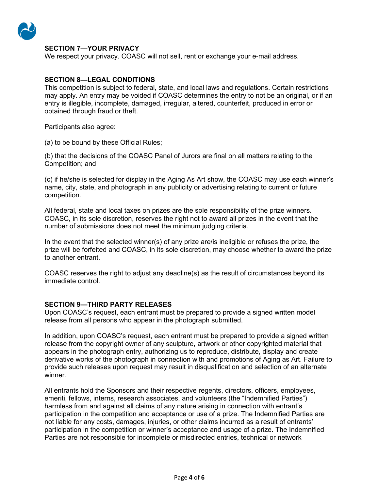

## **SECTION 7—YOUR PRIVACY**

We respect your privacy. COASC will not sell, rent or exchange your e-mail address.

## **SECTION 8—LEGAL CONDITIONS**

This competition is subject to federal, state, and local laws and regulations. Certain restrictions may apply. An entry may be voided if COASC determines the entry to not be an original, or if an entry is illegible, incomplete, damaged, irregular, altered, counterfeit, produced in error or obtained through fraud or theft.

Participants also agree:

(a) to be bound by these Official Rules;

(b) that the decisions of the COASC Panel of Jurors are final on all matters relating to the Competition; and

(c) if he/she is selected for display in the Aging As Art show, the COASC may use each winner's name, city, state, and photograph in any publicity or advertising relating to current or future competition.

All federal, state and local taxes on prizes are the sole responsibility of the prize winners. COASC, in its sole discretion, reserves the right not to award all prizes in the event that the number of submissions does not meet the minimum judging criteria.

In the event that the selected winner(s) of any prize are/is ineligible or refuses the prize, the prize will be forfeited and COASC, in its sole discretion, may choose whether to award the prize to another entrant.

COASC reserves the right to adjust any deadline(s) as the result of circumstances beyond its immediate control.

#### **SECTION 9—THIRD PARTY RELEASES**

Upon COASC's request, each entrant must be prepared to provide a signed written model release from all persons who appear in the photograph submitted.

In addition, upon COASC's request, each entrant must be prepared to provide a signed written release from the copyright owner of any sculpture, artwork or other copyrighted material that appears in the photograph entry, authorizing us to reproduce, distribute, display and create derivative works of the photograph in connection with and promotions of Aging as Art. Failure to provide such releases upon request may result in disqualification and selection of an alternate winner.

All entrants hold the Sponsors and their respective regents, directors, officers, employees, emeriti, fellows, interns, research associates, and volunteers (the "Indemnified Parties") harmless from and against all claims of any nature arising in connection with entrant's participation in the competition and acceptance or use of a prize. The Indemnified Parties are not liable for any costs, damages, injuries, or other claims incurred as a result of entrants' participation in the competition or winner's acceptance and usage of a prize. The Indemnified Parties are not responsible for incomplete or misdirected entries, technical or network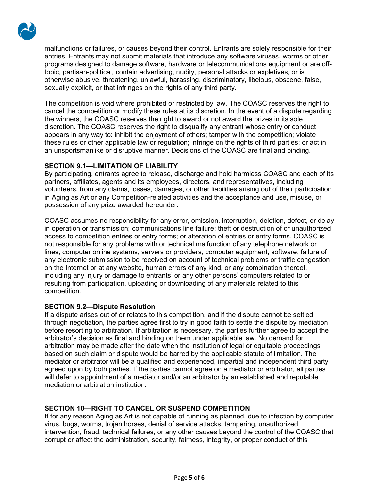

malfunctions or failures, or causes beyond their control. Entrants are solely responsible for their entries. Entrants may not submit materials that introduce any software viruses, worms or other programs designed to damage software, hardware or telecommunications equipment or are offtopic, partisan-political, contain advertising, nudity, personal attacks or expletives, or is otherwise abusive, threatening, unlawful, harassing, discriminatory, libelous, obscene, false, sexually explicit, or that infringes on the rights of any third party.

The competition is void where prohibited or restricted by law. The COASC reserves the right to cancel the competition or modify these rules at its discretion. In the event of a dispute regarding the winners, the COASC reserves the right to award or not award the prizes in its sole discretion. The COASC reserves the right to disqualify any entrant whose entry or conduct appears in any way to: inhibit the enjoyment of others; tamper with the competition; violate these rules or other applicable law or regulation; infringe on the rights of third parties; or act in an unsportsmanlike or disruptive manner. Decisions of the COASC are final and binding.

# **SECTION 9.1—LIMITATION OF LIABILITY**

By participating, entrants agree to release, discharge and hold harmless COASC and each of its partners, affiliates, agents and its employees, directors, and representatives, including volunteers, from any claims, losses, damages, or other liabilities arising out of their participation in Aging as Art or any Competition-related activities and the acceptance and use, misuse, or possession of any prize awarded hereunder.

COASC assumes no responsibility for any error, omission, interruption, deletion, defect, or delay in operation or transmission; communications line failure; theft or destruction of or unauthorized access to competition entries or entry forms; or alteration of entries or entry forms. COASC is not responsible for any problems with or technical malfunction of any telephone network or lines, computer online systems, servers or providers, computer equipment, software, failure of any electronic submission to be received on account of technical problems or traffic congestion on the Internet or at any website, human errors of any kind, or any combination thereof, including any injury or damage to entrants' or any other persons' computers related to or resulting from participation, uploading or downloading of any materials related to this competition.

# **SECTION 9.2—Dispute Resolution**

If a dispute arises out of or relates to this competition, and if the dispute cannot be settled through negotiation, the parties agree first to try in good faith to settle the dispute by mediation before resorting to arbitration. If arbitration is necessary, the parties further agree to accept the arbitrator's decision as final and binding on them under applicable law. No demand for arbitration may be made after the date when the institution of legal or equitable proceedings based on such claim or dispute would be barred by the applicable statute of limitation. The mediator or arbitrator will be a qualified and experienced, impartial and independent third party agreed upon by both parties. If the parties cannot agree on a mediator or arbitrator, all parties will defer to appointment of a mediator and/or an arbitrator by an established and reputable mediation or arbitration institution.

# **SECTION 10—RIGHT TO CANCEL OR SUSPEND COMPETITION**

If for any reason Aging as Art is not capable of running as planned, due to infection by computer virus, bugs, worms, trojan horses, denial of service attacks, tampering, unauthorized intervention, fraud, technical failures, or any other causes beyond the control of the COASC that corrupt or affect the administration, security, fairness, integrity, or proper conduct of this